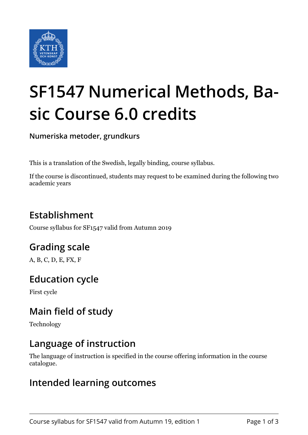

# **SF1547 Numerical Methods, Basic Course 6.0 credits**

**Numeriska metoder, grundkurs**

This is a translation of the Swedish, legally binding, course syllabus.

If the course is discontinued, students may request to be examined during the following two academic years

## **Establishment**

Course syllabus for SF1547 valid from Autumn 2019

## **Grading scale**

A, B, C, D, E, FX, F

#### **Education cycle**

First cycle

## **Main field of study**

Technology

#### **Language of instruction**

The language of instruction is specified in the course offering information in the course catalogue.

#### **Intended learning outcomes**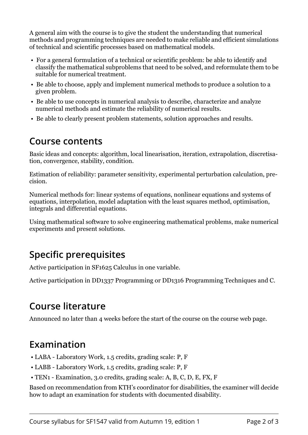A general aim with the course is to give the student the understanding that numerical methods and programming techniques are needed to make reliable and efficient simulations of technical and scientific processes based on mathematical models.

- For a general formulation of a technical or scientific problem: be able to identify and classify the mathematical subproblems that need to be solved, and reformulate them to be suitable for numerical treatment.
- Be able to choose, apply and implement numerical methods to produce a solution to a given problem.
- Be able to use concepts in numerical analysis to describe, characterize and analyze numerical methods and estimate the reliability of numerical results.
- Be able to clearly present problem statements, solution approaches and results.

#### **Course contents**

Basic ideas and concepts: algorithm, local linearisation, iteration, extrapolation, discretisation, convergence, stability, condition.

Estimation of reliability: parameter sensitivity, experimental perturbation calculation, precision.

Numerical methods for: linear systems of equations, nonlinear equations and systems of equations, interpolation, model adaptation with the least squares method, optimisation, integrals and differential equations.

Using mathematical software to solve engineering mathematical problems, make numerical experiments and present solutions.

# **Specific prerequisites**

Active participation in SF1625 Calculus in one variable.

Active participation in DD1337 Programming or DD1316 Programming Techniques and C.

# **Course literature**

Announced no later than 4 weeks before the start of the course on the course web page.

## **Examination**

- LABA Laboratory Work, 1.5 credits, grading scale: P, F
- LABB Laboratory Work, 1.5 credits, grading scale: P, F
- TEN1 Examination, 3.0 credits, grading scale: A, B, C, D, E, FX, F

Based on recommendation from KTH's coordinator for disabilities, the examiner will decide how to adapt an examination for students with documented disability.